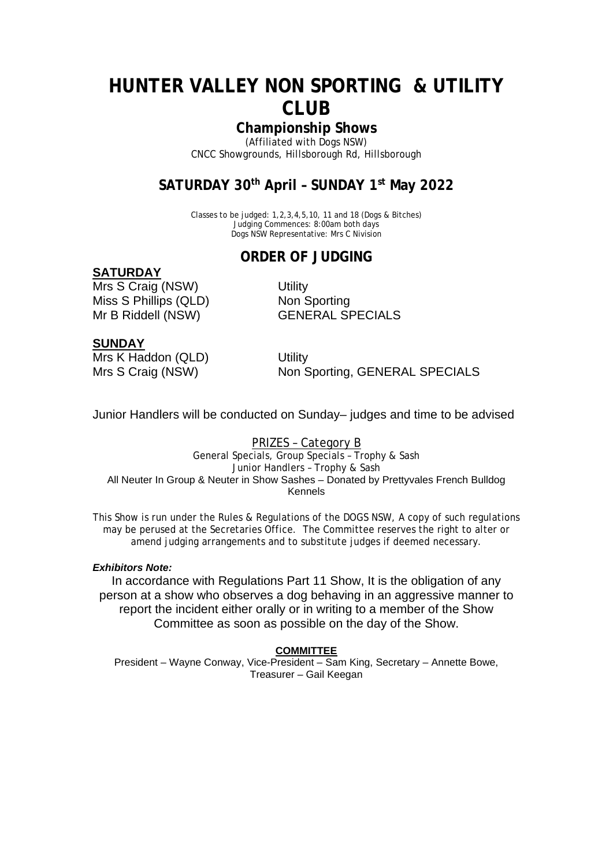## **HUNTER VALLEY NON SPORTING & UTILITY CLUB**

### **Championship Shows**

(Affiliated with Dogs NSW) CNCC Showgrounds, Hillsborough Rd, Hillsborough

### **SATURDAY 30th April – SUNDAY 1st May 2022**

Classes to be judged: 1,2,3,4,5,10, 11 and 18 (Dogs & Bitches) Judging Commences: 8:00am both days Dogs NSW Representative: Mrs C Nivision

### **ORDER OF JUDGING**

#### **SATURDAY**

Mrs S Craig (NSW) Utility Miss S Phillips (QLD) Non Sporting Mr B Riddell (NSW) **GENERAL SPECIALS** 

### **SUNDAY**

Mrs K Haddon (QLD) Utility

Mrs S Craig (NSW) Non Sporting, GENERAL SPECIALS

Junior Handlers will be conducted on Sunday– judges and time to be advised

#### PRIZES – Category B

General Specials, Group Specials – Trophy & Sash Junior Handlers – Trophy & Sash All Neuter In Group & Neuter in Show Sashes – Donated by Prettyvales French Bulldog Kennels

This Show is run under the Rules & Regulations of the DOGS NSW, A copy of such regulations may be perused at the Secretaries Office. The Committee reserves the right to alter or amend judging arrangements and to substitute judges if deemed necessary.

#### *Exhibitors Note:*

In accordance with Regulations Part 11 Show, It is the obligation of any person at a show who observes a dog behaving in an aggressive manner to report the incident either orally or in writing to a member of the Show Committee as soon as possible on the day of the Show.

#### **COMMITTEE**

President – Wayne Conway, Vice-President – Sam King, Secretary – Annette Bowe, Treasurer – Gail Keegan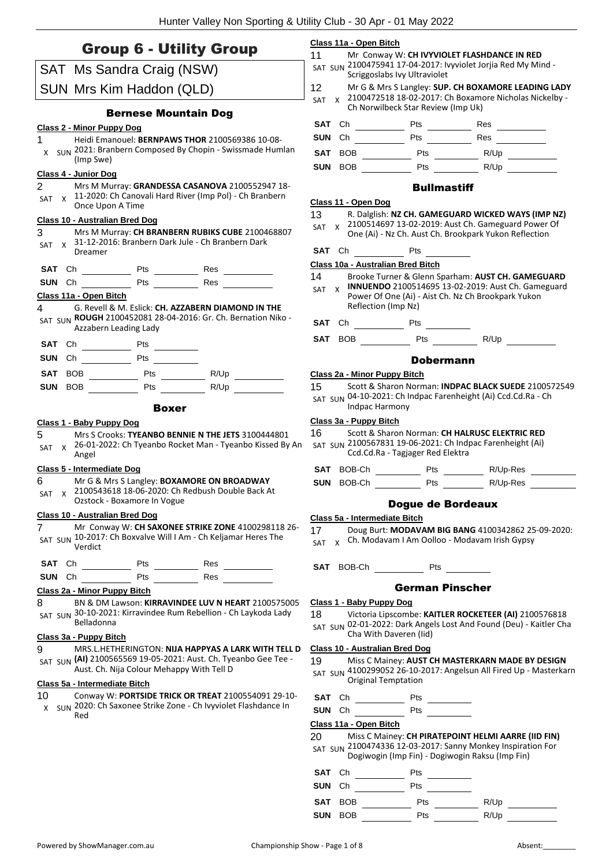### Group 6 - Utility Group

|                  | $\sim$ - $\sim$ - $\sim$              |                                           |                                                                                                                        |
|------------------|---------------------------------------|-------------------------------------------|------------------------------------------------------------------------------------------------------------------------|
|                  |                                       | SAT Ms Sandra Craig (NSW)                 |                                                                                                                        |
|                  |                                       | SUN Mrs Kim Haddon (QLD)                  |                                                                                                                        |
| 1                | Class 2 - Minor Puppy Dog             | <b>Bernese Mountain Dog</b>               | Heidi Emanouel: BERNPAWS THOR 2100569386 10-08-                                                                        |
|                  | (Imp Swe)                             |                                           | X SUN 2021: Branbern Composed By Chopin - Swissmade Humlan                                                             |
|                  | Class 4 - Junior Dog                  |                                           |                                                                                                                        |
| 2<br>SAT         | Once Upon A Time                      |                                           | Mrs M Murray: GRANDESSA CASANOVA 2100552947 18-<br>x 11-2020: Ch Canovali Hard River (Imp Pol) - Ch Branbern           |
|                  | <b>Class 10 - Australian Bred Dog</b> |                                           |                                                                                                                        |
| 3<br>SAT         | Dreamer                               |                                           | Mrs M Murray: CH BRANBERN RUBIKS CUBE 2100468807<br>x 31-12-2016: Branbern Dark Jule - Ch Branbern Dark                |
| SAT Ch           | Pts                                   | Res                                       |                                                                                                                        |
|                  | SUN Ch                                | Pts                                       | Res                                                                                                                    |
|                  | Class 11a - Open Bitch                |                                           |                                                                                                                        |
| 4                | Azzabern Leading Lady                 |                                           | G. Revell & M. Eslick: CH. AZZABERN DIAMOND IN THE<br>SAT SUN ROUGH 2100452081 28-04-2016: Gr. Ch. Bernation Niko -    |
| SAT Ch           |                                       | <b>Pts</b>                                |                                                                                                                        |
| SUN<br>Ch        | Pts                                   |                                           |                                                                                                                        |
| SAT BOB          | Pts                                   |                                           | R/Up                                                                                                                   |
| SUN<br>BOB       |                                       | <b>Pts</b>                                | R/Up <b>R</b>                                                                                                          |
|                  |                                       | <b>Boxer</b>                              |                                                                                                                        |
|                  | Class 1 - Baby Puppy Dog              |                                           |                                                                                                                        |
| 5 —<br>SAT<br>X. | Angel                                 |                                           | Mrs S Crooks: TYEANBO BENNIE N THE JETS 3100444801<br>26-01-2022: Ch Tyeanbo Rocket Man - Tyeanbo Kissed By An         |
|                  | Class 5 - Intermediate Dog            |                                           |                                                                                                                        |
| 6 —              | Ozstock - Boxamore In Vogue           |                                           | Mr G & Mrs S Langley: BOXAMORE ON BROADWAY<br>SAT x 2100543618 18-06-2020: Ch Redbush Double Back At                   |
|                  | Class 10 - Australian Bred Dog        |                                           |                                                                                                                        |
| 7                | Verdict                               |                                           | Mr Conway W: CH SAXONEE STRIKE ZONE 4100298118 26-<br>SAT SUN 10-2017: Ch Boxvalve Will I Am - Ch Keljamar Heres The   |
| SAT Ch           | $\rule{1em}{0.15mm}$ Pts              | Res                                       |                                                                                                                        |
|                  |                                       |                                           |                                                                                                                        |
|                  | Class 2a - Minor Puppy Bitch          |                                           |                                                                                                                        |
| 8                | Belladonna                            |                                           | BN & DM Lawson: KIRRAVINDEE LUV N HEART 2100575005<br>SAT SUN 30-10-2021: Kirravindee Rum Rebellion - Ch Laykoda Lady  |
|                  | Class 3a - Puppy Bitch                |                                           |                                                                                                                        |
| 9                |                                       | Aust. Ch. Nija Colour Mehappy With Tell D | MRS.L.HETHERINGTON: NIJA HAPPYAS A LARK WITH TELL D<br>SAT SUN (AI) 2100565569 19-05-2021: Aust. Ch. Tyeanbo Gee Tee - |
|                  | Class 5a - Intermediate Bitch         |                                           |                                                                                                                        |
| 10<br>x          | Red                                   |                                           | Conway W: PORTSIDE TRICK OR TREAT 2100554091 29-10-<br>SUN 2020: Ch Saxonee Strike Zone - Ch Ivyviolet Flashdance In   |
|                  |                                       |                                           |                                                                                                                        |

#### **Class 11a - Open Bitch**

- 11 Mr Conway W: **CH IVYVIOLET FLASHDANCE IN RED**
- 2100475941 17-04-2017: Ivyviolet Jorjia Red My Mind SAT SUN Scriggoslabs Ivy Ultraviolet
- 12 Mr G & Mrs S Langley: **SUP. CH BOXAMORE LEADING LADY** SAT x 2100472518 18-02-2017: Ch Boxamore Nicholas Nickelby -
	- Ch Norwilbeck Star Review (Imp Uk)

| SAT Ch |         | Pts | Res  |  |
|--------|---------|-----|------|--|
| SUN Ch |         | Pts | Res  |  |
|        | SAT BOB | Pts | R/Up |  |

**SUN** BOB Pts Pts R/Up

#### **Bullmastiff**

#### **Class 11 - Open Dog**

#### 13 R. Dalglish: **NZ CH. GAMEGUARD WICKED WAYS (IMP NZ)**

- SAT x 2100514697 13-02-2019: Aust Ch. Gameguard Power Of
- One (Ai) Nz Ch. Aust Ch. Brookpark Yukon Reflection

#### **SAT** Ch Pts

#### **Class 10a - Australian Bred Bitch**

- 14 Brooke Turner & Glenn Sparham: **AUST CH. GAMEGUARD**
- **INNUENDO** 2100514695 13-02-2019: Aust Ch. Gameguard Power Of One (Ai) - Aist Ch. Nz Ch Brookpark Yukon Reflection (Imp Nz) SAT X

**SAT** Ch Pts

**SAT** BOB Pts R/Up

#### Dobermann

#### **Class 2a - Minor Puppy Bitch**

- 15 Scott & Sharon Norman: **INDPAC BLACK SUEDE** 2100572549
- SAT SUN 04-10-2021: Ch Indpac Farenheight (Ai) Ccd.Cd.Ra Ch Indpac Harmony

#### **Class 3a - Puppy Bitch**

- 16 Scott & Sharon Norman: **CH HALRUSC ELEKTRIC RED**
- 2100567831 19-06-2021: Ch Indpac Farenheight (Ai) SAT SUN Ccd.Cd.Ra - Tagjager Red Elektra

| SAT BOB-Ch | <b>Pts</b> | R/Up-Res |  |
|------------|------------|----------|--|
|            |            |          |  |

#### **SUN** BOB-Ch Pts R/Up-Res

17 Doug Burt: **MODAVAM BIG BANG** 4100342862 25-09-2020:

#### German Pinscher

#### **Class 1 - Baby Puppy Dog**

18 Victoria Lipscombe: **KAITLER ROCKETEER (AI)** 2100576818

SAT SUN 02-01-2022: Dark Angels Lost And Found (Deu) - Kaitler Cha Cha With Daveren (Iid)

#### **Class 10 - Australian Bred Dog**

- 19 Miss C Mainey: **AUST CH MASTERKARN MADE BY DESIGN** 4100299052 26-10-2017: Angelsun All Fired Up - Masterkarn SAT SUN Original Temptation
- **SAT** Ch Pts
- **SUN** Ch Pts

#### **Class 11a - Open Bitch**

20 Miss C Mainey: **CH PIRATEPOINT HELMI AARRE (IID FIN)** SAT SUN 2100474336 12-03-2017: Sanny Monkey Inspiration For

Dogiwogin (Imp Fin) - Dogiwogin Raksu (Imp Fin)

- **SAT** Ch Pts
- **SUN** Ch Pts
- **SAT** BOB <u>\_\_\_\_\_\_\_\_\_\_\_\_</u> Pts \_\_\_\_\_\_\_\_\_\_\_ R/Up

**SUN** BOB Pts Pts R/Up

Dogue de Bordeaux

### **Class 5a - Intermediate Bitch**

SAT x Ch. Modavam I Am Oolloo - Modavam Irish Gypsy

**SAT** BOB-Ch Pts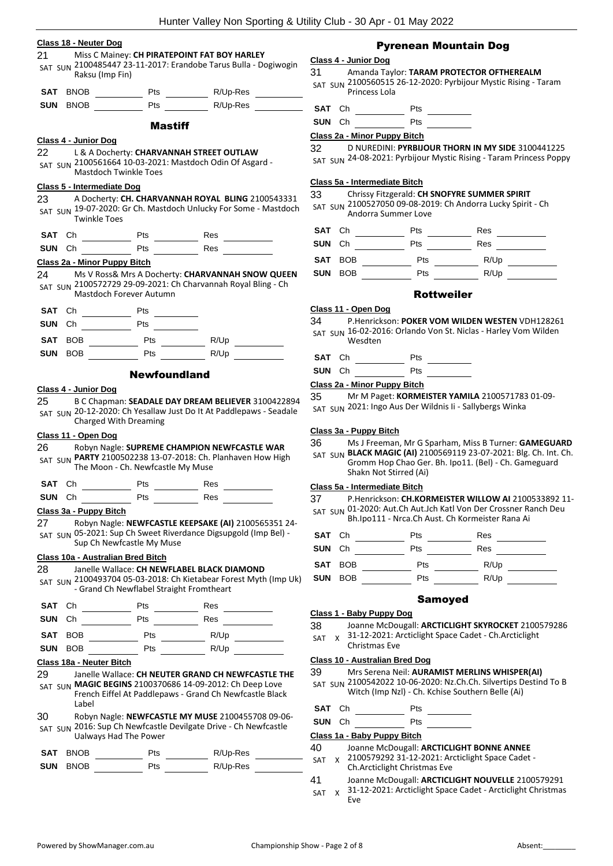|                 | Class 18 - Neuter Dog             |                              |                                                                                                                      |
|-----------------|-----------------------------------|------------------------------|----------------------------------------------------------------------------------------------------------------------|
| 21              | Raksu (Imp Fin)                   |                              | Miss C Mainey: CH PIRATEPOINT FAT BOY HARLEY<br>SAT SUN 2100485447 23-11-2017: Erandobe Tarus Bulla - Dogiwogin      |
|                 | SAT BNOB                          | Pts                          | R/Up-Res                                                                                                             |
| SUN             | <b>BNOB</b>                       | Pts                          | R/Up-Res                                                                                                             |
|                 |                                   | <b>Mastiff</b>               |                                                                                                                      |
|                 | Class 4 - Junior Dog              |                              |                                                                                                                      |
| 22              |                                   |                              | L & A Docherty: CHARVANNAH STREET OUTLAW<br>SAT SUN 2100561664 10-03-2021: Mastdoch Odin Of Asgard -                 |
|                 |                                   | <b>Mastdoch Twinkle Toes</b> |                                                                                                                      |
|                 | <b>Class 5 - Intermediate Dog</b> |                              |                                                                                                                      |
|                 | <b>Twinkle Toes</b>               |                              | A Docherty: CH. CHARVANNAH ROYAL BLING 2100543331<br>SAT SUN 19-07-2020: Gr Ch. Mastdoch Unlucky For Some - Mastdoch |
| SAT             | Ch                                | Pts                          | Res                                                                                                                  |
| SUN Ch          |                                   | Pts                          | Res                                                                                                                  |
|                 | Class 2a - Minor Puppy Bitch      |                              |                                                                                                                      |
|                 |                                   | Mastdoch Forever Autumn      | Ms V Ross& Mrs A Docherty: CHARVANNAH SNOW QUEEN<br>SAT SUN 2100572729 29-09-2021: Ch Charvannah Royal Bling - Ch    |
| SAT             | Ch                                | <b>Pts</b>                   |                                                                                                                      |
| <b>SUN</b>      | Ch                                | Pts                          |                                                                                                                      |
| 23<br>24<br>SAT | <b>BOB</b>                        | Pts                          | R/Up                                                                                                                 |

#### **Class 4 - Junior Dog**

25 B C Chapman: **SEADALE DAY DREAM BELIEVER** 3100422894 SAT SUN 20-12-2020: Ch Yesallaw Just Do It At Paddlepaws - Seadale Charged With Dreaming

#### **Class 11 - Open Dog**

#### 26 Robyn Nagle: **SUPREME CHAMPION NEWFCASTLE WAR**

SAT SUN **PARTY** 2100502238 13-07-2018: Ch. Planhaven How High The Moon - Ch. Newfcastle My Muse

| SAT Ch | Pts | Res |
|--------|-----|-----|
| SUN Ch | Pts | Res |

#### **Class 3a - Puppy Bitch**

27 Robyn Nagle: **NEWFCASTLE KEEPSAKE (AI)** 2100565351 24- SAT SUN 05-2021: Sup Ch Sweet Riverdance Digsupgold (Imp Bel) -Sup Ch Newfcastle My Muse

#### **Class 10a - Australian Bred Bitch**

#### 28 Janelle Wallace: **CH NEWFLABEL BLACK DIAMOND**

2100493704 05-03-2018: Ch Kietabear Forest Myth (Imp Uk) SAT SUN - Grand Ch Newflabel Straight Fromtheart

| SAT Ch     |         | Pts | Res  |  |
|------------|---------|-----|------|--|
| SUN Ch     |         | Pts | Res  |  |
|            | SAT BOB | Pts | R/Up |  |
| <b>SUN</b> | BOB     | Pts | R/Up |  |

#### **Class 18a - Neuter Bitch**

- 29 Janelle Wallace: **CH NEUTER GRAND CH NEWFCASTLE THE**  SAT SUN **MAGIC BEGINS** 2100370686 14-09-2012: Ch Deep Love French Eiffel At Paddlepaws - Grand Ch Newfcastle Black Label
- 30 Robyn Nagle: **NEWFCASTLE MY MUSE** 2100455708 09-06- SAT SUN 2016: Sup Ch Newfcastle Devilgate Drive - Ch Newfcastle Ualways Had The Power

| SAT BNOB        | <b>Pts</b> | R/Up-Res |  |
|-----------------|------------|----------|--|
| <b>SUN BNOB</b> | <b>Pts</b> | R/Up-Res |  |

### Pyrenean Mountain Dog

#### **Class 4 - Junior Dog**

31 Amanda Taylor: **TARAM PROTECTOR OFTHEREALM** 2100560515 26-12-2020: Pyrbijour Mystic Rising - Taram SAT SUN Princess Lola

| SAT Ch<br>Pts |
|---------------|
|---------------|

| <b>SUN</b> Ch | Pts |
|---------------|-----|
|               |     |

#### **Class 2a - Minor Puppy Bitch**

32 D NUREDINI: **PYRBIJOUR THORN IN MY SIDE** 3100441225

SAT SUN 24-08-2021: Pyrbijour Mystic Rising - Taram Princess Poppy

#### **Class 5a - Intermediate Bitch**

#### 33 Chrissy Fitzgerald: **CH SNOFYRE SUMMER SPIRIT**

2100527050 09-08-2019: Ch Andorra Lucky Spirit - Ch SAT SUN Andorra Summer Love

| SAT Ch |         | Pts | Res  |  |
|--------|---------|-----|------|--|
| SUN Ch |         | Pts | Res  |  |
|        | SAT BOB | Pts | R/Up |  |
|        | SUN BOB | Pts | R/Up |  |

#### Rottweiler

#### **Class 11 - Open Dog**

34 P.Henrickson: **POKER VOM WILDEN WESTEN** VDH128261 SAT SUN 16-02-2016: Orlando Von St. Niclas - Harley Vom Wilden Wesdten

- **SAT** Ch \_ Pts \_
- **SUN** Ch Pts

#### **Class 2a - Minor Puppy Bitch**

35 Mr M Paget: **KORMEISTER YAMILA** 2100571783 01-09- SAT SUN 2021: Ingo Aus Der Wildnis Ii - Sallybergs Winka

#### **Class 3a - Puppy Bitch**

36 Ms J Freeman, Mr G Sparham, Miss B Turner: **GAMEGUARD**  SAT SUN **BLACK MAGIC (AI)** 2100569119 23-07-2021: Blg. Ch. Int. Ch.

Gromm Hop Chao Ger. Bh. Ipo11. (Bel) - Ch. Gameguard Shakn Not Stirred (Ai)

#### **Class 5a - Intermediate Bitch**

37 P.Henrickson: **CH.KORMEISTER WILLOW AI** 2100533892 11- SAT SUN 01-2020: Aut.Ch Aut.Jch Katl Von Der Crossner Ranch Deu Bh.Ipo111 - Nrca.Ch Aust. Ch Kormeister Rana Ai

| SAT Ch        |     | Pts | Res  |  |
|---------------|-----|-----|------|--|
| <b>SUN</b> Ch |     | Pts | Res  |  |
| SAT BOB       |     | Pts | R/Up |  |
| <b>SUN</b>    | BOB | Pts | R/Up |  |

#### Samoyed

#### **Class 1 - Baby Puppy Dog**

31-12-2021: Arcticlight Space Cadet - Ch.Arcticlight Christmas Eve  $\overline{\mathbf{S}}$ 

#### **Class 10 - Australian Bred Dog**

- 39 Mrs Serena Neil: **AURAMIST MERLINS WHISPER(AI)**
- SAT SUN 2100542022 10-06-2020: Nz.Ch.Ch. Silvertips Destind To B Witch (Imp Nzl) - Ch. Kchise Southern Belle (Ai)

| SAT Ch<br>Pts |
|---------------|
|---------------|

#### **SUN** Ch Pts \_ **Class 1a - Baby Puppy Bitch**

|    | UNUS 10 - DADY I APPY DIGIT |                                           |
|----|-----------------------------|-------------------------------------------|
| 40 |                             | Joanne McDougall: ARCTICLIGHT BONNE ANNEE |

- SAT x 2100579292 31-12-2021: Arcticlight Space Cadet -Ch.Arcticlight Christmas Eve
- 41 Joanne McDougall: **ARCTICLIGHT NOUVELLE** 2100579291
- 31-12-2021: Arcticlight Space Cadet Arcticlight Christmas Eve SAT X

|     | $\frac{1}{2}$                                           |
|-----|---------------------------------------------------------|
| 38  | Joanne McDougall: ARCTICLIGHT SKYROCKET 2100579286      |
| SAT | x 31-12-2021: Arcticlight Space Cadet - Ch. Arcticlight |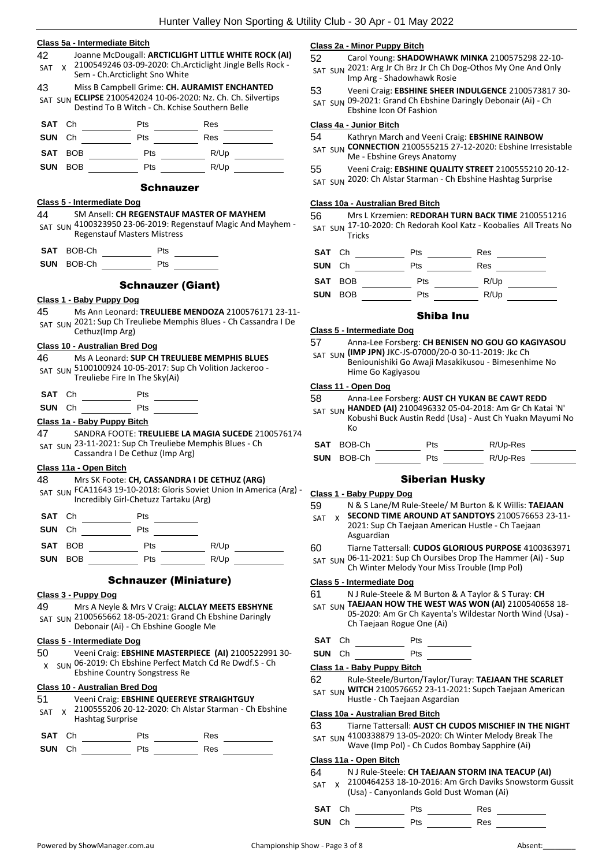|                  | Class 5a - Intermediate Bitch                             |                                                |                                                                                                                   |
|------------------|-----------------------------------------------------------|------------------------------------------------|-------------------------------------------------------------------------------------------------------------------|
| 42<br><b>SAT</b> | X.<br>Sem - Ch.Arcticlight Sno White                      |                                                | Joanne McDougall: ARCTICLIGHT LITTLE WHITE ROCK (AI)<br>2100549246 03-09-2020: Ch.Arcticlight Jingle Bells Rock - |
| 43               |                                                           |                                                | Miss B Campbell Grime: CH. AURAMIST ENCHANTED                                                                     |
|                  |                                                           | Destind To B Witch - Ch. Kchise Southern Belle | SAT SUN ECLIPSE 2100542024 10-06-2020: Nz. Ch. Ch. Silvertips                                                     |
| SAT              | Сh                                                        | Pts                                            | Res                                                                                                               |
| SUN              | Сh                                                        | Pts                                            | Res                                                                                                               |
| SAT              | BOB                                                       | Pts                                            | R/Up                                                                                                              |
| <b>SUN</b>       | <b>BOB</b>                                                | Pts                                            | R/Up                                                                                                              |
|                  |                                                           | <b>Schnauzer</b>                               |                                                                                                                   |
| 44               | Class 5 - Intermediate Dog                                | SM Ansell: CH REGENSTAUF MASTER OF MAYHEM      |                                                                                                                   |
|                  | <b>Regenstauf Masters Mistress</b>                        |                                                | SAT SUN 4100323950 23-06-2019: Regenstauf Magic And Mayhem -                                                      |
| SAT              | BOB-Ch                                                    | Pts                                            |                                                                                                                   |
| <b>SUN</b>       | BOB-Ch Pts                                                |                                                |                                                                                                                   |
|                  |                                                           |                                                |                                                                                                                   |
|                  |                                                           | <b>Schnauzer (Giant)</b>                       |                                                                                                                   |
| 45               | Class 1 - Baby Puppy Dog                                  |                                                | Ms Ann Leonard: TREULIEBE MENDOZA 2100576171 23-11-                                                               |
|                  |                                                           |                                                | SAT SUN 2021: Sup Ch Treuliebe Memphis Blues - Ch Cassandra I De                                                  |
|                  | Cethuz(Imp Arg)                                           |                                                |                                                                                                                   |
|                  | <b>Class 10 - Australian Bred Dog</b>                     |                                                |                                                                                                                   |
| 46               | SAT SUN 5100100924 10-05-2017: Sup Ch Volition Jackeroo - |                                                | Ms A Leonard: SUP CH TREULIEBE MEMPHIS BLUES                                                                      |
|                  | Treuliebe Fire In The Sky(Ai)                             |                                                |                                                                                                                   |
| SAT Ch           |                                                           | <b>Pts</b>                                     |                                                                                                                   |
| <b>SUN</b>       | Сh                                                        | Pts $\qquad \qquad \qquad$                     |                                                                                                                   |
|                  | Class 1a - Baby Puppy Bitch                               |                                                |                                                                                                                   |
| 47               |                                                           |                                                | SANDRA FOOTE: TREULIEBE LA MAGIA SUCEDE 2100576174                                                                |
|                  | SAT SUN 23-11-2021: Sup Ch Treuliebe Memphis Blues - Ch   |                                                |                                                                                                                   |
|                  | Cassandra I De Cethuz (Imp Arg)                           |                                                |                                                                                                                   |
|                  | Class 11a - Open Bitch                                    | Mrs SK Foote: CH, CASSANDRA I DE CETHUZ (ARG)  |                                                                                                                   |
|                  |                                                           |                                                | SAT SUN FCA11643 19-10-2018: Gloris Soviet Union In America (Arg) -                                               |
|                  |                                                           | Incredibly Girl-Chetuzz Tartaku (Arg)          |                                                                                                                   |
| SAT Ch           |                                                           | Pts                                            |                                                                                                                   |
| SUN              | Ch                                                        | Pts                                            |                                                                                                                   |
| <b>SAT</b>       |                                                           |                                                |                                                                                                                   |
| SUN              | <b>BOB Example</b>                                        |                                                | Pts R/Up                                                                                                          |
|                  |                                                           | <b>Schnauzer (Miniature)</b>                   |                                                                                                                   |
|                  | Class 3 - Puppy Dog                                       |                                                |                                                                                                                   |
| 49               | SAT SUN 2100565662 18-05-2021: Grand Ch Ebshine Daringly  |                                                | Mrs A Neyle & Mrs V Craig: ALCLAY MEETS EBSHYNE                                                                   |
|                  |                                                           | Debonair (Ai) - Ch Ebshine Google Me           |                                                                                                                   |
|                  | Class 5 - Intermediate Dog                                |                                                |                                                                                                                   |
| 50 -<br>x        | Ebshine Country Songstress Re                             |                                                | Veeni Craig: EBSHINE MASTERPIECE (AI) 2100522991 30-<br>SUN 06-2019: Ch Ebshine Perfect Match Cd Re Dwdf.S - Ch   |
|                  | <b>Class 10 - Australian Bred Dog</b>                     |                                                |                                                                                                                   |
| 51               |                                                           | Veeni Craig: EBSHINE QUEEREYE STRAIGHTGUY      |                                                                                                                   |
| SAT              | X.<br><b>Hashtag Surprise</b>                             |                                                | 2100555206 20-12-2020: Ch Alstar Starman - Ch Ebshine                                                             |
|                  |                                                           |                                                |                                                                                                                   |
| SAT              | Ch                                                        | <b>Pts</b>                                     | Res                                                                                                               |
| SUN              | $Ch$ and $C$                                              | Pts                                            | Res                                                                                                               |

#### **Class 2a - Minor Puppy Bitch**

52 Carol Young: **SHADOWHAWK MINKA** 2100575298 22-10- SAT SUN 2021: Arg Jr Ch Brz Jr Ch Ch Dog-Othos My One And Only Imp Arg - Shadowhawk Rosie

- 53 Veeni Craig: **EBSHINE SHEER INDULGENCE** 2100573817 30-
- SAT SUN 09-2021: Grand Ch Ebshine Daringly Debonair (Ai) Ch

Ebshine Icon Of Fashion

#### **Class 4a - Junior Bitch**

54 Kathryn March and Veeni Craig: **EBSHINE RAINBOW** 

- SAT SUN **CONNECTION** 2100555215 27-12-2020: Ebshine Irresistable Me - Ebshine Greys Anatomy
- 55 Veeni Craig: **EBSHINE QUALITY STREET** 2100555210 20-12-
- 2020: Ch Alstar Starman Ch Ebshine Hashtag Surprise

#### **Class 10a - Australian Bred Bitch**

56 Mrs L Krzemien: **REDORAH TURN BACK TIME** 2100551216 SAT SUN 17-10-2020: Ch Redorah Kool Katz - Koobalies All Treats No **Tricks** 

**SAT** Ch Pts Res **SUN** Ch Pts Res **SAT** BOB Pts R/Up

### **SUN** BOB Pts R/Up

#### Shiba Inu

#### **Class 5 - Intermediate Dog**

57 Anna-Lee Forsberg: **CH BENISEN NO GOU GO KAGIYASOU** 

SAT SUN (IMP JPN) JKC-JS-07000/20-0 30-11-2019: Jkc Ch Beniounishiki Go Awaji Masakikusou - Bimesenhime No Hime Go Kagiyasou

#### **Class 11 - Open Dog**

- 58 Anna-Lee Forsberg: **AUST CH YUKAN BE CAWT REDD**
- SAT SUN **HANDED (AI)** 2100496332 05-04-2018: Am Gr Ch Katai 'N' Kobushi Buck Austin Redd (Usa) - Aust Ch Yuakn Mayumi No Ko
- **SAT** BOB-Ch Pts R/Up-Res **SUN** BOB-Ch Pts R/Up-Res

#### Siberian Husky

#### **Class 1 - Baby Puppy Dog**

- 59 N & S Lane/M Rule-Steele/ M Burton & K Willis: **TAEJAAN**
- **SECOND TIME AROUND AT SANDTOYS** 2100576653 23-11- SAT X
	- 2021: Sup Ch Taejaan American Hustle Ch Taejaan Asguardian
- 60 Tiarne Tattersall: **CUDOS GLORIOUS PURPOSE** 4100363971
- SAT SUN 06-11-2021: Sup Ch Oursibes Drop The Hammer (Ai) Sup
- Ch Winter Melody Your Miss Trouble (Imp Pol)

#### **Class 5 - Intermediate Dog**

61 N J Rule-Steele & M Burton & A Taylor & S Turay: **CH** 

SAT SUN **TAEJAAN HOW THE WEST WAS WON (AI)** 2100540658 18-05-2020: Am Gr Ch Kayenta's Wildestar North Wind (Usa) - Ch Taejaan Rogue One (Ai)

### **SAT** Ch Pts

**SUN** Ch Pts

#### **Class 1a - Baby Puppy Bitch**

- 62 Rule-Steele/Burton/Taylor/Turay: **TAEJAAN THE SCARLET**
- SAT SUN **WITCH** 2100576652 23-11-2021: Supch Taejaan American Hustle - Ch Taejaan Asgardian

#### **Class 10a - Australian Bred Bitch**

- 63 Tiarne Tattersall: **AUST CH CUDOS MISCHIEF IN THE NIGHT**
- SAT SUN 4100338879 13-05-2020: Ch Winter Melody Break The
	- Wave (Imp Pol) Ch Cudos Bombay Sapphire (Ai)

#### **Class 11a - Open Bitch**

#### 64 N J Rule-Steele: **CH TAEJAAN STORM INA TEACUP (AI)**

SAT x 2100464253 18-10-2016: Am Grch Daviks Snowstorm Gussit (Usa) - Canyonlands Gold Dust Woman (Ai)

| SAT Ch | <b>Pts</b> | Res |
|--------|------------|-----|

**SUN** Ch Pts Res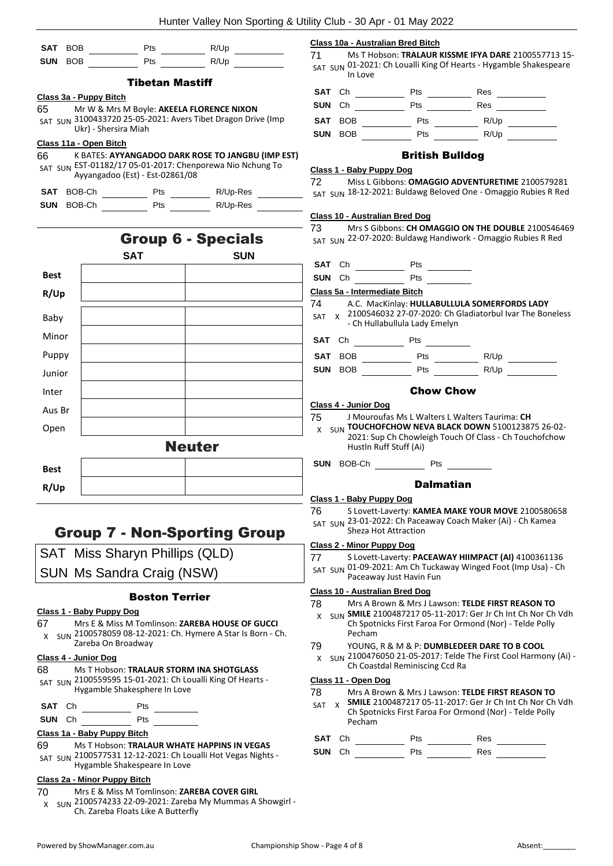|                                         |                          |                                 | Hunter Valley Non Sporting & Utility Club                                                                   |                                               |
|-----------------------------------------|--------------------------|---------------------------------|-------------------------------------------------------------------------------------------------------------|-----------------------------------------------|
| <b>SAT</b><br><b>BOB</b>                |                          | Pts                             | R/Up                                                                                                        | Class 10a<br>71                               |
| <b>SUN</b><br><b>BOB</b>                |                          | Pts                             | R/Up                                                                                                        | SAT SUN                                       |
|                                         |                          | <b>Tibetan Mastiff</b>          |                                                                                                             | <b>SAT</b><br>Сŀ                              |
| 65                                      | Class 3a - Puppy Bitch   |                                 | Mr W & Mrs M Boyle: AKEELA FLORENCE NIXON                                                                   | <b>SUN</b><br>Cr                              |
|                                         |                          |                                 | SAT SUN 3100433720 25-05-2021: Avers Tibet Dragon Drive (Imp                                                | <b>SAT</b><br>B                               |
| Class 11a - Open Bitch                  | Ukr) - Shersira Miah     |                                 |                                                                                                             | <b>SUN</b><br>B                               |
| 66                                      |                          |                                 | K BATES: AYYANGADOO DARK ROSE TO JANGBU (IMP EST)                                                           |                                               |
|                                         |                          | Ayyangadoo (Est) - Est-02861/08 | SAT SUN EST-01182/17 05-01-2017: Chenporewa Nio Nchung To                                                   | <u>Class 1 - I</u>                            |
| <b>SAT</b>                              | BOB-Ch                   |                                 | Pts R/Up-Res                                                                                                | 72<br>SAT SUN                                 |
| <b>SUN</b>                              | BOB-Ch                   |                                 | Pts R/Up-Res                                                                                                |                                               |
|                                         |                          |                                 |                                                                                                             | <u>Class 10 -</u>                             |
|                                         |                          |                                 | <b>Group 6 - Specials</b>                                                                                   | 73<br>SAT SUN ·                               |
|                                         |                          | <b>SAT</b>                      | <b>SUN</b>                                                                                                  |                                               |
| <b>Best</b>                             |                          |                                 |                                                                                                             | <b>SAT</b><br>Ch                              |
|                                         |                          |                                 |                                                                                                             | <b>SUN</b><br>Ch<br>Class 5a -                |
| R/Up                                    |                          |                                 |                                                                                                             | 74                                            |
| Baby                                    |                          |                                 |                                                                                                             | <b>SAT</b><br>$X -$                           |
| Minor                                   |                          |                                 |                                                                                                             | <b>SAT</b><br>Сh                              |
| Puppy                                   |                          |                                 |                                                                                                             | <b>SAT</b><br>B                               |
| Junior                                  |                          |                                 |                                                                                                             | <b>SUN</b><br>B                               |
| Inter                                   |                          |                                 |                                                                                                             |                                               |
| Aus Br                                  |                          |                                 |                                                                                                             | Class 4 - .                                   |
| Open                                    |                          |                                 |                                                                                                             | 75<br>X<br>SUN                                |
|                                         |                          |                                 | <b>Neuter</b>                                                                                               |                                               |
| <b>Best</b>                             |                          |                                 |                                                                                                             | <b>SUN</b><br>- BC                            |
| R/Up                                    |                          |                                 |                                                                                                             |                                               |
|                                         |                          |                                 |                                                                                                             | Class 1 - I                                   |
|                                         |                          |                                 |                                                                                                             | 76                                            |
|                                         |                          |                                 | <b>Group 7 - Non-Sporting Group</b>                                                                         | SAT SUN ·                                     |
|                                         |                          | SAT Miss Sharyn Phillips (QLD)  |                                                                                                             | Class 2 - I<br>77                             |
|                                         |                          | SUN Ms Sandra Craig (NSW)       |                                                                                                             | SAT SUN                                       |
|                                         |                          |                                 |                                                                                                             |                                               |
|                                         |                          | <b>Boston Terrier</b>           |                                                                                                             | Class 10 -<br>78                              |
|                                         | Class 1 - Baby Puppy Dog |                                 | Mrs E & Miss M Tomlinson: ZAREBA HOUSE OF GUCCI                                                             | x<br>SUN ·                                    |
|                                         |                          |                                 |                                                                                                             |                                               |
| X                                       |                          |                                 | SUN 2100578059 08-12-2021: Ch. Hymere A Star Is Born - Ch.                                                  |                                               |
|                                         | Zareba On Broadway       |                                 |                                                                                                             | 79                                            |
|                                         |                          |                                 | Ms T Hobson: TRALAUR STORM INA SHOTGLASS                                                                    | x                                             |
|                                         |                          |                                 | SAT SUN 2100559595 15-01-2021: Ch Loualli King Of Hearts -                                                  |                                               |
| 67<br>Class 4 - Junior Dog<br>68<br>SAT |                          | Hygamble Shakesphere In Love    |                                                                                                             | 78<br><b>SAT</b><br>X                         |
| Ch<br>SUN Ch                            |                          | Pts<br>Pts                      |                                                                                                             |                                               |
| Class 1a - Baby Puppy Bitch             |                          |                                 |                                                                                                             | SAT                                           |
| 69                                      |                          |                                 | Ms T Hobson: TRALAUR WHATE HAPPINS IN VEGAS<br>SAT SUN 2100577531 12-12-2021: Ch Loualli Hot Vegas Nights - | SUN ·<br>Class 11 -<br>Сh<br><b>SUN</b><br>Cr |

**Class 10a - Australian Bred Bitch** 71 Ms T Hobson: **TRALAUR KISSME IFYA DARE** 2100557713 15-

01-2021: Ch Loualli King Of Hearts - Hygamble Shakespeare In Love

| <b>SAT</b> Ch  | Pts        | Res  |  |
|----------------|------------|------|--|
| SUN Ch         | Pts        | Res  |  |
| SAT BOB        | <b>Pts</b> | R/Up |  |
| <b>SUN BOB</b> | Pts        | R/Up |  |

#### British Bulldog

#### **Class 1 - Baby Puppy Dog**

72 Miss L Gibbons: **OMAGGIO ADVENTURETIME** 2100579281 18-12-2021: Buldawg Beloved One - Omaggio Rubies R Red

#### **Class 10 - Australian Bred Dog**

- Mrs S Gibbons: CH OMAGGIO ON THE DOUBLE 2100546469 22-07-2020: Buldawg Handiwork - Omaggio Rubies R Red
- **Pts**
- Pts

#### **Class 5a - Intermediate Bitch**

- 74 A.C. MacKinlay: **HULLABULLULA SOMERFORDS LADY**
- 2100546032 27-07-2020: Ch Gladiatorbul Ivar The Boneless - Ch Hullabullula Lady Emelyn
- **Pts**
- **SATE** BOB <u>**Example 2** Pts</u> <u>**Pts EXALG** BOB **R/Up**</u> **SUNDER** Pts R/Up

#### Chow Chow

#### **Class 4 - Junior Dog**

- **Mouroufas Ms L Walters L Walters Taurima: CH**
- **TOUCHOFCHOW NEVA BLACK DOWN** 5100123875 26-02- 2021: Sup Ch Chowleigh Touch Of Class - Ch Touchofchow Hustln Ruff Stuff (Ai)
- **SUARE STARTING Pts**

#### Dalmatian

#### **Class 1 - Baby Puppy Dog**

76 S Lovett-Laverty: **KAMEA MAKE YOUR MOVE** 2100580658 23-01-2022: Ch Paceaway Coach Maker (Ai) - Ch Kamea Sheza Hot Attraction

#### **Class 2 - Minor Puppy Dog**

77 S Lovett-Laverty: **PACEAWAY HIIMPACT (AI)** 4100361136

01-09-2021: Am Ch Tuckaway Winged Foot (Imp Usa) - Ch Paceaway Just Havin Fun

#### **Class 10 - Australian Bred Dog**

- 78 Mrs A Brown & Mrs J Lawson: **TELDE FIRST REASON TO**
- **SMILE** 2100487217 05-11-2017: Ger Jr Ch Int Ch Nor Ch Vdh Ch Spotnicks First Faroa For Ormond (Nor) - Telde Polly Pecham
- 79 YOUNG, R & M & P: **DUMBLEDEER DARE TO B COOL**
- 2100476050 21-05-2017: Telde The First Cool Harmony (Ai) Ch Coastdal Reminiscing Ccd Ra

#### **Class 11 - Open Dog**

- 78 Mrs A Brown & Mrs J Lawson: **TELDE FIRST REASON TO SMILE** 2100487217 05-11-2017: Ger Jr Ch Int Ch Nor Ch Vdh
	- Ch Spotnicks First Faroa For Ormond (Nor) Telde Polly Pecham

| SAT Ch | <b>Pts</b> | Res |
|--------|------------|-----|
| SUN Ch | Pts        | Res |

- 70 Mrs E & Miss M Tomlinson: **ZAREBA COVER GIRL**
- x sun 2100574233 22-09-2021: Zareba My Mummas A Showgirl -Ch. Zareba Floats Like A Butterfly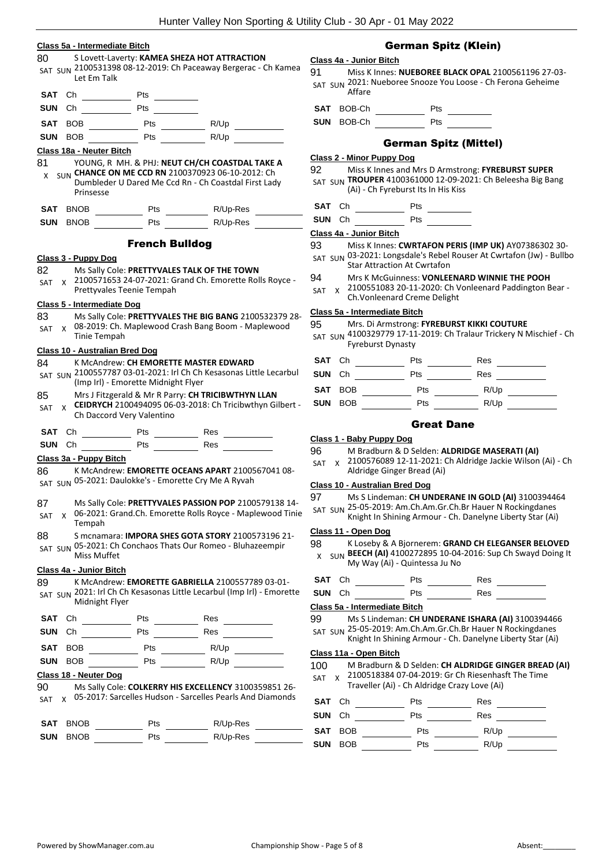#### **Class 5a - Intermediate Bitch**

#### 80 S Lovett-Laverty: **KAMEA SHEZA HOT ATTRACTION** SAT SUN 2100531398 08-12-2019: Ch Paceaway Bergerac - Ch Kamea Let Em Talk

| SUN Ch<br>Pts | SAT Ch |  | Pts |  |
|---------------|--------|--|-----|--|
|               |        |  |     |  |

| SAT BOB | Pts | R/Up |  |
|---------|-----|------|--|
| SUN BOB | Pts | R/Up |  |

#### **Class 18a - Neuter Bitch**

| 81 | YOUNG, R MH. & PHJ: NEUT CH/CH COASTDAL TAKE A                                                             |
|----|------------------------------------------------------------------------------------------------------------|
|    | SLIN CHANCE ON ME CCD RN 2100370923 06-10-2012: Ch<br>Dumbleder U Dared Me Ccd Rn - Ch Coastdal First Lady |
|    | Prinsesse                                                                                                  |

Prinsesse **SAT** BNOB Pts R/Up-Res

**SUN** BNOB Pts R/Up-Res

#### French Bulldog

#### **Class 3 - Puppy Dog**

- 82 Ms Sally Cole: **PRETTYVALES TALK OF THE TOWN**
- 2100571653 24-07-2021: Grand Ch. Emorette Rolls Royce Prettyvales Teenie Tempah SAT X

#### **Class 5 - Intermediate Dog**

83 Ms Sally Cole: **PRETTYVALES THE BIG BANG** 2100532379 28- 08-2019: Ch. Maplewood Crash Bang Boom - Maplewood Tinie Tempah SAT X

#### **Class 10 - Australian Bred Dog**

#### 84 K McAndrew: **CH EMORETTE MASTER EDWARD**

- SAT SUN 2100557787 03-01-2021: Irl Ch Ch Kesasonas Little Lecarbul (Imp Irl) - Emorette Midnight Flyer
- 85 Mrs J Fitzgerald & Mr R Parry: **CH TRICIBWTHYN LLAN**
- **CEIDRYCH** 2100494095 06-03-2018: Ch Tricibwthyn Gilbert Ch Daccord Very Valentino SAT X
- **SAT** Ch Pts Res
- **SUN** Ch Pts Pts Res

#### **Class 3a - Puppy Bitch**

- 86 K McAndrew: **EMORETTE OCEANS APART** 2100567041 08- SAT SUN 05-2021: Daulokke's - Emorette Cry Me A Ryvah
- 87 Ms Sally Cole: **PRETTYVALES PASSION POP** 2100579138 14-
- 06-2021: Grand.Ch. Emorette Rolls Royce Maplewood Tinie Tempah SAT X
- 88 S mcnamara: **IMPORA SHES GOTA STORY** 2100573196 21-
- SAT SUN 05-2021: Ch Conchaos Thats Our Romeo Bluhazeempir Miss Muffet

#### **Class 4a - Junior Bitch**

89 K McAndrew: **EMORETTE GABRIELLA** 2100557789 03-01- SAT SUN 2021: Irl Ch Ch Kesasonas Little Lecarbul (Imp Irl) - Emorette Midnight Flyer

| SAT Ch                |         |   | Pts        | Res  |  |  |
|-----------------------|---------|---|------------|------|--|--|
| <b>SUN</b>            | Ch      |   | <b>Pts</b> | Res  |  |  |
|                       | SAT BOB |   | Pts        | R/Up |  |  |
| <b>SUN</b>            | BOB     |   | Pts        | R/Up |  |  |
| Class 18 - Neuter Dog |         |   |            |      |  |  |
| $\sim$ $\sim$         |         | . |            |      |  |  |

90 Ms Sally Cole: **COLKERRY HIS EXCELLENCY** 3100359851 26- SAT x 05-2017: Sarcelles Hudson - Sarcelles Pearls And Diamonds

| SAT BNOB        | Pts | R/Up-Res |
|-----------------|-----|----------|
| <b>SUN BNOB</b> | Pts | R/Up-Res |

#### German Spitz (Klein)

#### **Class 4a - Junior Bitch**

91 Miss K Innes: **NUEBOREE BLACK OPAL** 2100561196 27-03- 2021: Nueboree Snooze You Loose - Ch Ferona Geheime Affare SAT SUN

**SAT** BOB-Ch Pts

**SUN** BOB-Ch Pts

(Ai) - Ch Fyreburst Its In His Kiss

#### German Spitz (Mittel)

#### **Class 2 - Minor Puppy Dog**

92 Miss K Innes and Mrs D Armstrong: **FYREBURST SUPER**  SAT SUN **TROUPER** 4100361000 12-09-2021: Ch Beleesha Big Bang

- **SAT** Ch Pts
- **SUN** Ch Pts

#### **Class 4a - Junior Bitch**

- 93 Miss K Innes: **CWRTAFON PERIS (IMP UK)** AY07386302 30-
- SAT SUN 03-2021: Longsdale's Rebel Rouser At Cwrtafon (Jw) Bullbo Star Attraction At Cwrtafon
- 94 Mrs K McGuinness: **VONLEENARD WINNIE THE POOH**
- 2100551083 20-11-2020: Ch Vonleenard Paddington Bear SAT X
- Ch.Vonleenard Creme Delight

#### **Class 5a - Intermediate Bitch**

- 95 Mrs. Di Armstrong: **FYREBURST KIKKI COUTURE**
- 4100329779 17-11-2019: Ch Tralaur Trickery N Mischief Ch SAT SUN Fyreburst Dynasty

| SAT Ch |         | Pts        | Res  |  |
|--------|---------|------------|------|--|
| SUN Ch |         | Pts        | Res  |  |
|        | SAT BOB | <b>Pts</b> | R/Up |  |
|        | SUN BOB | Pts        | R/Up |  |

#### Great Dane

#### **Class 1 - Baby Puppy Dog**

- 96 M Bradburn & D Selden: **ALDRIDGE MASERATI (AI)**
- 2100576089 12-11-2021: Ch Aldridge Jackie Wilson (Ai) Ch Aldridge Ginger Bread (Ai) SAT X

#### **Class 10 - Australian Bred Dog**

97 Ms S Lindeman: **CH UNDERANE IN GOLD (AI)** 3100394464 SAT SUN 25-05-2019: Am.Ch.Am.Gr.Ch.Br Hauer N Rockingdanes Knight In Shining Armour - Ch. Danelyne Liberty Star (Ai)

#### **Class 11 - Open Dog**

- 98 K Loseby & A Bjornerem: **GRAND CH ELEGANSER BELOVED**
- x SUN **BEECH (AI)** 4100272895 10-04-2016: Sup Ch Swayd Doing It My Way (Ai) - Quintessa Ju No

| SAT Ch                | ⊃ts | Res |
|-----------------------|-----|-----|
| C[III] 0 <sub>k</sub> | பு⊶ | Doo |

| <b>SUN</b> Ch |  |   | Pts | Res |  |
|---------------|--|---|-----|-----|--|
|               |  | . |     |     |  |

#### **Class 5a - Intermediate Bitch**

- 99 Ms S Lindeman: **CH UNDERANE ISHARA (AI)** 3100394466
- SAT SUN 25-05-2019: Am.Ch.Am.Gr.Ch.Br Hauer N Rockingdanes
	- Knight In Shining Armour Ch. Danelyne Liberty Star (Ai)

### **Class 11a - Open Bitch**

100 M Bradburn & D Selden: **CH ALDRIDGE GINGER BREAD (AI)** 2100518384 07-04-2019: Gr Ch Riesenhasft The Time SAT X

- Traveller (Ai) Ch Aldridge Crazy Love (Ai)
- **SAT** Ch Pts Res **SUN** Ch Pts Res **SAT** BOB Pts R/Up **SUN** BOB Pts R/Up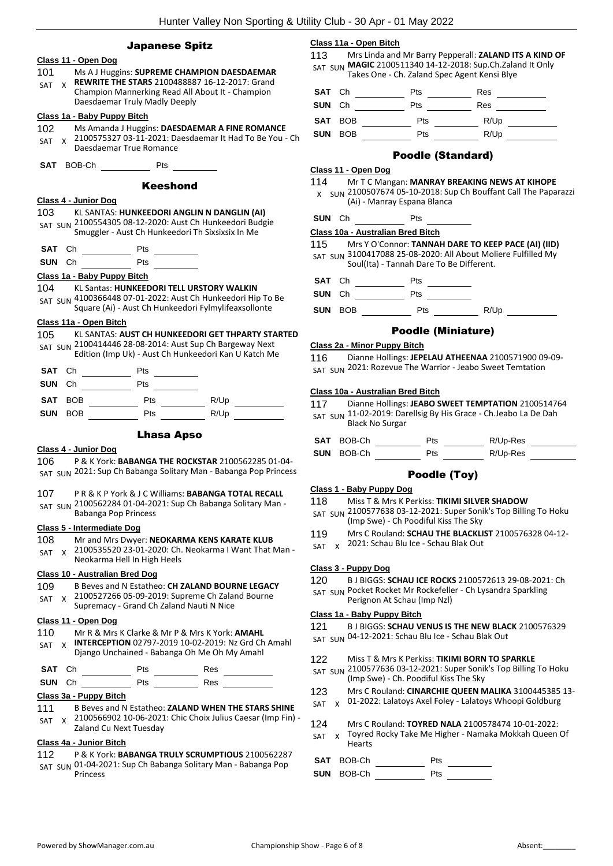#### Japanese Spitz

#### **Class 11 - Open Dog**

- 101 Ms A J Huggins: **SUPREME CHAMPION DAESDAEMAR REWRITE THE STARS** 2100488887 16-12-2017: Grand SAT X
- Champion Mannerking Read All About It Champion Daesdaemar Truly Madly Deeply

#### **Class 1a - Baby Puppy Bitch**

- 102 Ms Amanda J Huggins: **DAESDAEMAR A FINE ROMANCE**
- 2100575327 03-11-2021: Daesdaemar It Had To Be You Ch Daesdaemar True Romance SAT X
- **SAT** BOB-Ch Pts

#### Keeshond

#### **Class 4 - Junior Dog**

103 KL SANTAS: **HUNKEEDORI ANGLIN N DANGLIN (AI)** SAT SUN 2100554305 08-12-2020: Aust Ch Hunkeedori Budgie Smuggler - Aust Ch Hunkeedori Th Sixsixsix In Me

- **SAT** Ch Pts
- **SUN** Ch Pts

#### **Class 1a - Baby Puppy Bitch**

104 KL Santas: **HUNKEEDORI TELL URSTORY WALKIN** SAT SUN 4100366448 07-01-2022: Aust Ch Hunkeedori Hip To Be Square (Ai) - Aust Ch Hunkeedori Fylmylifeaxsollonte

#### **Class 11a - Open Bitch**

#### 105 KL SANTAS: **AUST CH HUNKEEDORI GET THPARTY STARTED** SAT SUN 2100414446 28-08-2014: Aust Sup Ch Bargeway Next

Edition (Imp Uk) - Aust Ch Hunkeedori Kan U Katch Me

| SAT Ch         |  | Pts        |      |  |
|----------------|--|------------|------|--|
| SUN Ch         |  | Pts        |      |  |
| SAT BOB        |  | <b>Pts</b> | R/Up |  |
| <b>SUN BOB</b> |  | Pts        | R/Up |  |

#### Lhasa Apso

#### **Class 4 - Junior Dog**

106 P & K York: **BABANGA THE ROCKSTAR** 2100562285 01-04- SAT SUN 2021: Sup Ch Babanga Solitary Man - Babanga Pop Princess

- 107 P R & K P York & J C Williams: **BABANGA TOTAL RECALL**
- SAT SUN 2100562284 01-04-2021: Sup Ch Babanga Solitary Man -Babanga Pop Princess

#### **Class 5 - Intermediate Dog**

#### 108 Mr and Mrs Dwyer: **NEOKARMA KENS KARATE KLUB**

2100535520 23-01-2020: Ch. Neokarma I Want That Man - Neokarma Hell In High Heels SAT X

#### **Class 10 - Australian Bred Dog**

- 109 B Beves and N Estatheo: **CH ZALAND BOURNE LEGACY** 2100527266 05-09-2019: Supreme Ch Zaland Bourne SAT X
	- Supremacy Grand Ch Zaland Nauti N Nice

#### **Class 11 - Open Dog**

- 110 Mr R & Mrs K Clarke & Mr P & Mrs K York: **AMAHL**
- **INTERCEPTION** 02797-2019 10-02-2019: Nz Grd Ch Amahl Django Unchained - Babanga Oh Me Oh My Amahl SAT X

**SAT** Ch Pts Res

**SUN** Ch Pts Res

#### **Class 3a - Puppy Bitch**

- 111 B Beves and N Estatheo: **ZALAND WHEN THE STARS SHINE**
- 2100566902 10-06-2021: Chic Choix Julius Caesar (Imp Fin) Zaland Cu Next Tuesday SAT X

#### **Class 4a - Junior Bitch**

- 112 P & K York: **BABANGA TRULY SCRUMPTIOUS** 2100562287
- SAT SUN 01-04-2021: Sup Ch Babanga Solitary Man Babanga Pop Princess

#### **Class 11a - Open Bitch**

113 Mrs Linda and Mr Barry Pepperall: **ZALAND ITS A KIND OF**  SAT SUN MAGIC 2100511340 14-12-2018: Sup.Ch.Zaland It Only Takes One - Ch. Zaland Spec Agent Kensi Blye

| SAT Ch     |            | Pts | Res  |  |
|------------|------------|-----|------|--|
| SUN Ch     |            | Pts | Res  |  |
|            | SAT BOB    | Pts | R/Up |  |
| <b>SUN</b> | <b>BOB</b> | Pts | R/Up |  |

#### Poodle (Standard)

#### **Class 11 - Open Dog**

114 Mr T C Mangan: **MANRAY BREAKING NEWS AT KIHOPE**  $X$  SUN 2100507674 05-10-2018: Sup Ch Bouffant Call The Paparazzi (Ai) - Manray Espana Blanca

### **SUN** Ch Pts

#### **Class 10a - Australian Bred Bitch**

115 Mrs Y O'Connor: **TANNAH DARE TO KEEP PACE (AI) (IID)** SAT SUN 3100417088 25-08-2020: All About Moliere Fulfilled My Soul(Ita) - Tannah Dare To Be Different.

**SAT** Ch Pts

**SUN** Ch Pts Pts

**SUN** BOB Pts R/Up

#### Poodle (Miniature)

#### **Class 2a - Minor Puppy Bitch**

116 Dianne Hollings: **JEPELAU ATHEENAA** 2100571900 09-09- 2021: Rozevue The Warrior - Jeabo Sweet Temtation

#### **Class 10a - Australian Bred Bitch**

117 Dianne Hollings: **JEABO SWEET TEMPTATION** 2100514764 SAT SUN 11-02-2019: Darellsig By His Grace - Ch.Jeabo La De Dah Black No Surgar

| SAT BOB-Ch        | <b>Pts</b> | R/Up-Res |
|-------------------|------------|----------|
| <b>SUN BOB-Ch</b> | <b>Pts</b> | R/Up-Res |

#### Poodle (Toy)

### **Class 1 - Baby Puppy Dog**

118 Miss T & Mrs K Perkiss: **TIKIMI SILVER SHADOW**

- 2100577638 03-12-2021: Super Sonik's Top Billing To Hoku SAT SUN (Imp Swe) - Ch Poodiful Kiss The Sky
- 119 Mrs C Rouland: **SCHAU THE BLACKLIST** 2100576328 04-12-
- SAT x 2021: Schau Blu Ice Schau Blak Out

#### **Class 3 - Puppy Dog**

- 120 B J BIGGS: **SCHAU ICE ROCKS** 2100572613 29-08-2021: Ch
- SAT SUN Pocket Rocket Mr Rockefeller Ch Lysandra Sparkling Perignon At Schau (Imp Nzl)

#### **Class 1a - Baby Puppy Bitch**

#### 121 B J BIGGS: **SCHAU VENUS IS THE NEW BLACK** 2100576329

SAT SUN 04-12-2021: Schau Blu Ice - Schau Blak Out

#### 122 Miss T & Mrs K Perkiss: **TIKIMI BORN TO SPARKLE**

- SAT SUN 2100577636 03-12-2021: Super Sonik's Top Billing To Hoku (Imp Swe) - Ch. Poodiful Kiss The Sky
- 123 Mrs C Rouland: **CINARCHIE QUEEN MALIKA** 3100445385 13-
- SAT x 01-2022: Lalatoys Axel Foley Lalatoys Whoopi Goldburg
- 124 Mrs C Rouland: **TOYRED NALA** 2100578474 10-01-2022:
- Toyred Rocky Take Me Higher Namaka Mokkah Queen Of Hearts SAT X
- **SAT** BOB-Ch Pts
- **SUN** BOB-Ch Pts
- -
	- -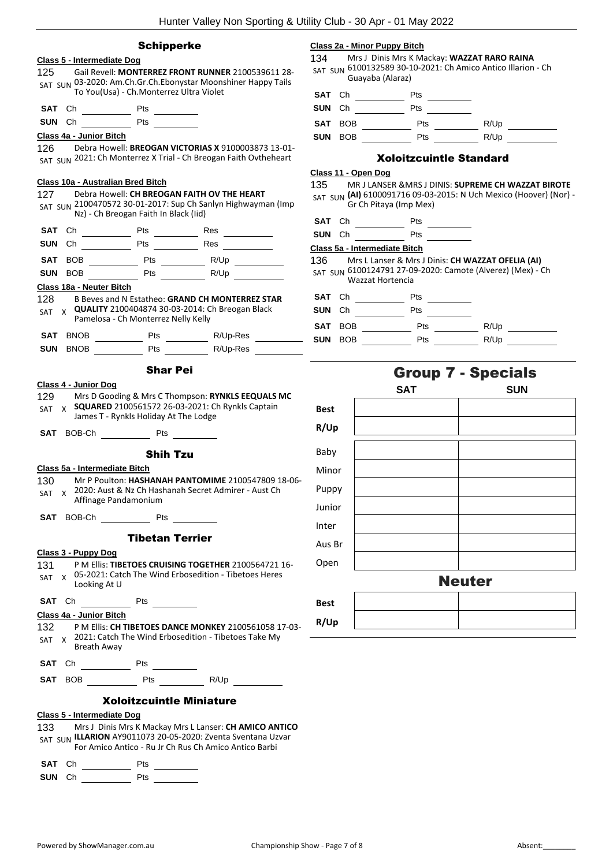|            |                                   | <b>Schipperke</b>                                      |                                                                                                                                                                                                                                | Class 2a - Min                                |
|------------|-----------------------------------|--------------------------------------------------------|--------------------------------------------------------------------------------------------------------------------------------------------------------------------------------------------------------------------------------|-----------------------------------------------|
|            | <b>Class 5 - Intermediate Dog</b> |                                                        |                                                                                                                                                                                                                                | 134                                           |
| 125.       |                                   |                                                        | Gail Revell: MONTERREZ FRONT RUNNER 2100539611 28-<br>SAT SUN 03-2020: Am.Ch.Gr.Ch.Ebonystar Moonshiner Happy Tails                                                                                                            | SAT SUN 6100                                  |
|            |                                   | To You(Usa) - Ch.Monterrez Ultra Violet                |                                                                                                                                                                                                                                | SAT<br>Ch                                     |
| SAT        | Ch                                | Pts                                                    |                                                                                                                                                                                                                                | SUN<br>Ch                                     |
| <b>SUN</b> | Ch                                | Pts <u>the second</u>                                  |                                                                                                                                                                                                                                | <b>SAT</b><br>BOB                             |
|            | Class 4a - Junior Bitch           |                                                        |                                                                                                                                                                                                                                | SUN<br>BOB                                    |
| 126        |                                   |                                                        | Debra Howell: BREOGAN VICTORIAS X 9100003873 13-01-<br>SAT SUN 2021: Ch Monterrez X Trial - Ch Breogan Faith Ovtheheart                                                                                                        |                                               |
|            |                                   |                                                        |                                                                                                                                                                                                                                | Class 11 - Ope                                |
|            |                                   | Class 10a - Australian Bred Bitch                      |                                                                                                                                                                                                                                | 135                                           |
| 127        |                                   | Nz) - Ch Breogan Faith In Black (Iid)                  | Debra Howell: CH BREOGAN FAITH OV THE HEART<br>SAT SUN 2100470572 30-01-2017: Sup Ch Sanlyn Highwayman (Imp                                                                                                                    | SAT SUN (AI)                                  |
| SAT        | Сh                                | Pts                                                    | Res                                                                                                                                                                                                                            | SAT<br>Ch                                     |
| <b>SUN</b> | Сh                                | Pts $\frac{1}{\sqrt{1-\frac{1}{2}} \cdot \frac{1}{2}}$ |                                                                                                                                                                                                                                | <b>SUN</b><br>Ch                              |
|            |                                   |                                                        | Res                                                                                                                                                                                                                            | <u> Class 5a - Inte</u>                       |
| <b>SAT</b> | BOB                               |                                                        |                                                                                                                                                                                                                                | 136<br>SAT SUN 6100                           |
| <b>SUN</b> | <b>BOB</b>                        | Pts                                                    | R/Up                                                                                                                                                                                                                           |                                               |
|            | Class 18a - Neuter Bitch          |                                                        | B Beves and N Estatheo: GRAND CH MONTERREZ STAR                                                                                                                                                                                | <b>SAT</b><br>Ch                              |
| 128<br>SAT |                                   |                                                        | $_{\text{X}}$ QUALITY 2100404874 30-03-2014: Ch Breogan Black                                                                                                                                                                  | SUN<br>Ch                                     |
|            |                                   | Pamelosa - Ch Monterrez Nelly Kelly                    |                                                                                                                                                                                                                                |                                               |
| SAT        | <b>BNOB</b>                       |                                                        | Pts R/Up-Res                                                                                                                                                                                                                   | <b>SAT</b><br>BOB<br><b>SUN</b><br><b>BOB</b> |
| <b>SUN</b> | BNOB                              |                                                        | Pts R/Up-Res                                                                                                                                                                                                                   |                                               |
| 129        | Class 4 - Junior Dog              | <b>Shar Pei</b>                                        | Mrs D Gooding & Mrs C Thompson: RYNKLS EEQUALS MC                                                                                                                                                                              |                                               |
| <b>SAT</b> |                                   | James T - Rynkls Holiday At The Lodge                  | $_{\text{X}}$ SQUARED 2100561572 26-03-2021: Ch Rynkls Captain                                                                                                                                                                 | Best<br>R/Up                                  |
|            | SAT BOB-Ch                        | Pts                                                    |                                                                                                                                                                                                                                |                                               |
|            |                                   | <b>Shih Tzu</b>                                        |                                                                                                                                                                                                                                | Baby                                          |
|            | Class 5a - Intermediate Bitch     |                                                        |                                                                                                                                                                                                                                | Minor                                         |
| 130        |                                   |                                                        | Mr P Poulton: HASHANAH PANTOMIME 2100547809 18-06-                                                                                                                                                                             | Puppy                                         |
|            |                                   | Affinage Pandamonium                                   | SAT x 2020: Aust & Nz Ch Hashanah Secret Admirer - Aust Ch                                                                                                                                                                     |                                               |
|            | SAT BOB-Ch                        |                                                        | Pts and the state of the state of the state of the state of the state of the state of the state of the state of the state of the state of the state of the state of the state of the state of the state of the state of the st | Junior                                        |
|            |                                   |                                                        |                                                                                                                                                                                                                                | Inter                                         |
|            |                                   | <b>Tibetan Terrier</b>                                 |                                                                                                                                                                                                                                | Aus Br                                        |
| 131 —      | Class 3 - Puppy Dog               |                                                        | P M Ellis: TIBETOES CRUISING TOGETHER 2100564721 16-                                                                                                                                                                           | Open                                          |
| SAT        | Looking At U                      |                                                        | x 05-2021: Catch The Wind Erbosedition - Tibetoes Heres                                                                                                                                                                        |                                               |
|            |                                   |                                                        |                                                                                                                                                                                                                                | <b>Best</b>                                   |
|            | Class 4a - Junior Bitch           |                                                        |                                                                                                                                                                                                                                |                                               |
|            | Breath Away                       |                                                        | 132 P M Ellis: CH TIBETOES DANCE MONKEY 2100561058 17-03-<br>SAT x 2021: Catch The Wind Erbosedition - Tibetoes Take My                                                                                                        | R/Up                                          |
|            |                                   |                                                        |                                                                                                                                                                                                                                |                                               |
|            |                                   |                                                        | <b>SAT</b> BOB Pts R/Up                                                                                                                                                                                                        |                                               |

| 133.   | Mrs J Dinis Mrs K Mackay Mrs L Lanser: CH AMICO ANTICO<br>SAT SUN ILLARION AY9011073 20-05-2020: Zventa Sventana Uzvar<br>For Amico Antico - Ru Jr Ch Rus Ch Amico Antico Barbi |
|--------|---------------------------------------------------------------------------------------------------------------------------------------------------------------------------------|
| SAT Ch | Pts                                                                                                                                                                             |

**SUN** Ch Pts

#### **Class 2a - Minor Puppy Bitch**

J Dinis Mrs K Mackay: **WAZZAT RARO RAINA** 0132589 30-10-2021: Ch Amico Antico Illarion - Ch yaba (Alaraz)



| SAT BOB | Pts | R/Up |  |
|---------|-----|------|--|

| SUN BOB | <b>Pts</b> | R/Up |  |
|---------|------------|------|--|
|         |            |      |  |

#### Xoloitzcuintle Standard

#### **Class 11 - Open Dog**

135 MR J LANSER &MRS J DINIS: **SUPREME CH WAZZAT BIROTE (AI)** 6100091716 09-03-2015: N Uch Mexico (Hoover) (Nor) - Ch Pitaya (Imp Mex)

- **Pts**
- **Pts**

#### **Class 5a - Intermediate Bitch**

136 Mrs L Lanser & Mrs J Dinis: **CH WAZZAT OFELIA (AI)** 6100124791 27-09-2020: Camote (Alverez) (Mex) - Ch zzat Hortencia



## Group 7 - Specials

|             | <b>SAT</b> | <b>SUN</b> |
|-------------|------------|------------|
| <b>Best</b> |            |            |
| R/Up        |            |            |
| Baby        |            |            |
| Minor       |            |            |
| Puppy       |            |            |
| Junior      |            |            |
| Inter       |            |            |
| Aus Br      |            |            |
| Open        |            |            |
|             |            | Nautor     |

#### Neuter

| <b>Best</b> |  |
|-------------|--|
| R/Up        |  |